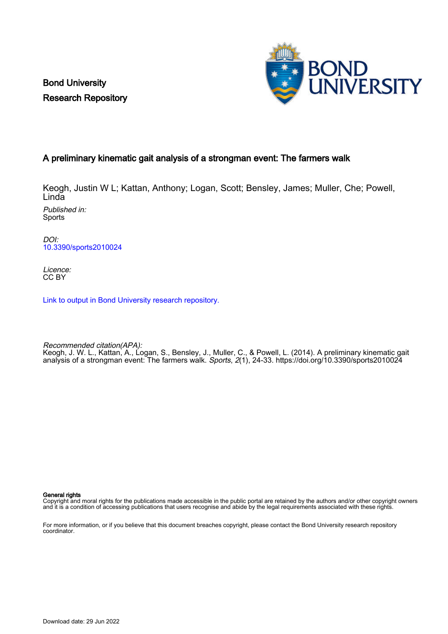Bond University Research Repository



## A preliminary kinematic gait analysis of a strongman event: The farmers walk

Keogh, Justin W L; Kattan, Anthony; Logan, Scott; Bensley, James; Muller, Che; Powell, Linda

Published in: **Sports** 

DOI: [10.3390/sports2010024](https://doi.org/10.3390/sports2010024)

Licence: CC BY

[Link to output in Bond University research repository.](https://research.bond.edu.au/en/publications/bb1217a9-362e-4f14-8e24-c131c008d52f)

Recommended citation(APA): Keogh, J. W. L., Kattan, A., Logan, S., Bensley, J., Muller, C., & Powell, L. (2014). A preliminary kinematic gait analysis of a strongman event: The farmers walk. *Sports, 2*(1), 24-33.<https://doi.org/10.3390/sports2010024>

General rights

Copyright and moral rights for the publications made accessible in the public portal are retained by the authors and/or other copyright owners and it is a condition of accessing publications that users recognise and abide by the legal requirements associated with these rights.

For more information, or if you believe that this document breaches copyright, please contact the Bond University research repository coordinator.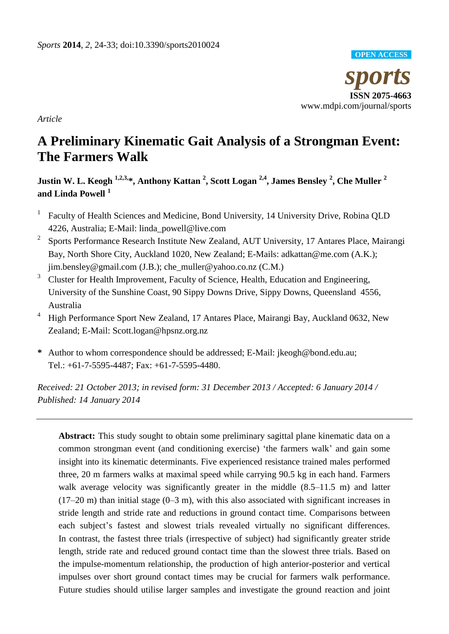

*Article*

# **A Preliminary Kinematic Gait Analysis of a Strongman Event: The Farmers Walk**

## **Justin W. L. Keogh 1,2,3, \*, Anthony Kattan <sup>2</sup> , Scott Logan 2,4 , James Bensley <sup>2</sup> , Che Muller <sup>2</sup> and Linda Powell <sup>1</sup>**

- 1 Faculty of Health Sciences and Medicine, Bond University, 14 University Drive, Robina QLD 4226, Australia; E-Mail: linda\_powell@live.com
- <sup>2</sup> Sports Performance Research Institute New Zealand, AUT University, 17 Antares Place, Mairangi Bay, North Shore City, Auckland 1020, New Zealand; E-Mails: adkattan@me.com (A.K.); jim.bensley@gmail.com (J.B.); che\_muller@yahoo.co.nz (C.M.)
- <sup>3</sup> Cluster for Health Improvement, [Faculty of Science, Health, Education and Engineering,](http://www.usc.edu.au/university/faculties-and-divisions/faculty-of-science-health-education-and-engineering) University of the Sunshine Coast, 90 Sippy Downs Drive, Sippy Downs, Queensland 4556, Australia
- <sup>4</sup> High Performance Sport New Zealand, 17 Antares Place, Mairangi Bay, Auckland 0632, New Zealand; E-Mail: Scott.logan@hpsnz.org.nz
- **\*** Author to whom correspondence should be addressed; E-Mail: jkeogh@bond.edu.au; Tel.: +61-7-5595-4487; Fax: +61-7-5595-4480.

*Received: 21 October 2013; in revised form: 31 December 2013 / Accepted: 6 January 2014 / Published: 14 January 2014*

**Abstract:** This study sought to obtain some preliminary sagittal plane kinematic data on a common strongman event (and conditioning exercise) 'the farmers walk' and gain some insight into its kinematic determinants. Five experienced resistance trained males performed three, 20 m farmers walks at maximal speed while carrying 90.5 kg in each hand. Farmers walk average velocity was significantly greater in the middle  $(8.5-11.5 \text{ m})$  and latter  $(17–20 \text{ m})$  than initial stage  $(0–3 \text{ m})$ , with this also associated with significant increases in stride length and stride rate and reductions in ground contact time. Comparisons between each subject's fastest and slowest trials revealed virtually no significant differences. In contrast, the fastest three trials (irrespective of subject) had significantly greater stride length, stride rate and reduced ground contact time than the slowest three trials. Based on the impulse-momentum relationship, the production of high anterior-posterior and vertical impulses over short ground contact times may be crucial for farmers walk performance. Future studies should utilise larger samples and investigate the ground reaction and joint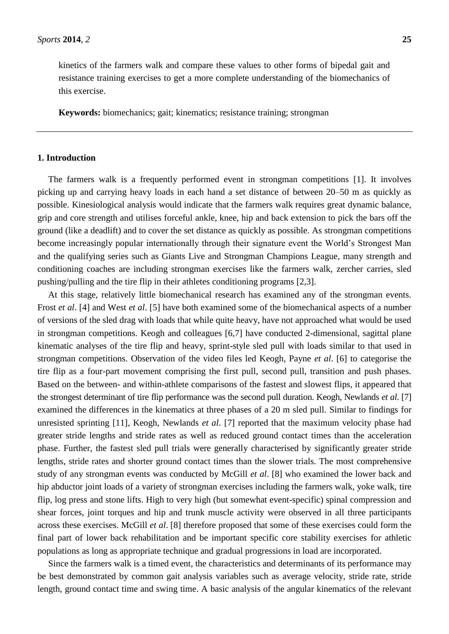kinetics of the farmers walk and compare these values to other forms of bipedal gait and resistance training exercises to get a more complete understanding of the biomechanics of this exercise.

**Keywords:** biomechanics; gait; kinematics; resistance training; strongman

## **1. Introduction**

The farmers walk is a frequently performed event in strongman competitions [\[1\]](#page-9-0). It involves picking up and carrying heavy loads in each hand a set distance of between 20–50 m as quickly as possible. Kinesiological analysis would indicate that the farmers walk requires great dynamic balance, grip and core strength and utilises forceful ankle, knee, hip and back extension to pick the bars off the ground (like a deadlift) and to cover the set distance as quickly as possible. As strongman competitions become increasingly popular internationally through their signature event the World's Strongest Man and the qualifying series such as Giants Live and Strongman Champions League, many strength and conditioning coaches are including strongman exercises like the farmers walk, zercher carries, sled pushing/pulling and the tire flip in their athletes conditioning programs [\[2](#page-9-1)[,3\]](#page-9-2).

At this stage, relatively little biomechanical research has examined any of the strongman events. Frost *et al*. [\[4\]](#page-9-3) and West *et al*. [\[5\]](#page-9-4) have both examined some of the biomechanical aspects of a number of versions of the sled drag with loads that while quite heavy, have not approached what would be used in strongman competitions. Keogh and colleagues [\[6](#page-9-5)[,7\]](#page-9-6) have conducted 2-dimensional, sagittal plane kinematic analyses of the tire flip and heavy, sprint-style sled pull with loads similar to that used in strongman competitions. Observation of the video files led Keogh, Payne *et al*. [\[6\]](#page-9-5) to categorise the tire flip as a four-part movement comprising the first pull, second pull, transition and push phases. Based on the between- and within-athlete comparisons of the fastest and slowest flips, it appeared that the strongest determinant of tire flip performance was the second pull duration. Keogh, Newlands *et al*. [\[7\]](#page-9-6) examined the differences in the kinematics at three phases of a 20 m sled pull. Similar to findings for unresisted sprinting [\[11\]](#page-10-0), Keogh, Newlands *et al*. [\[7\]](#page-9-6) reported that the maximum velocity phase had greater stride lengths and stride rates as well as reduced ground contact times than the acceleration phase. Further, the fastest sled pull trials were generally characterised by significantly greater stride lengths, stride rates and shorter ground contact times than the slower trials. The most comprehensive study of any strongman events was conducted by McGill *et al*. [\[8\]](#page-9-7) who examined the lower back and hip abductor joint loads of a variety of strongman exercises including the farmers walk, yoke walk, tire flip, log press and stone lifts. High to very high (but somewhat event-specific) spinal compression and shear forces, joint torques and hip and trunk muscle activity were observed in all three participants across these exercises. McGill *et al*. [\[8\]](#page-9-7) therefore proposed that some of these exercises could form the final part of lower back rehabilitation and be important specific core stability exercises for athletic populations as long as appropriate technique and gradual progressions in load are incorporated.

Since the farmers walk is a timed event, the characteristics and determinants of its performance may be best demonstrated by common gait analysis variables such as average velocity, stride rate, stride length, ground contact time and swing time. A basic analysis of the angular kinematics of the relevant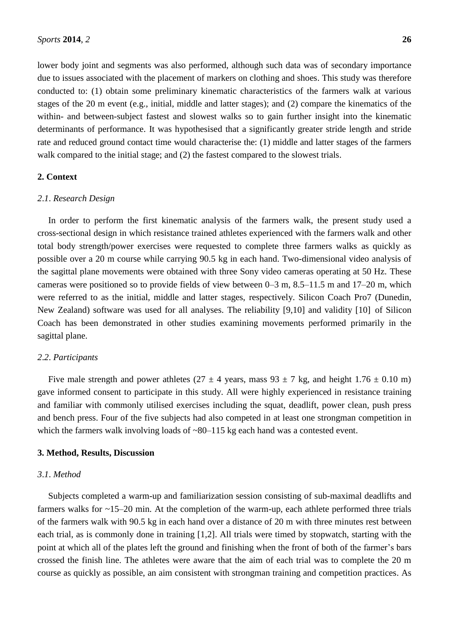lower body joint and segments was also performed, although such data was of secondary importance due to issues associated with the placement of markers on clothing and shoes. This study was therefore conducted to: (1) obtain some preliminary kinematic characteristics of the farmers walk at various stages of the 20 m event (e.g., initial, middle and latter stages); and (2) compare the kinematics of the within- and between-subject fastest and slowest walks so to gain further insight into the kinematic determinants of performance. It was hypothesised that a significantly greater stride length and stride rate and reduced ground contact time would characterise the: (1) middle and latter stages of the farmers walk compared to the initial stage; and  $(2)$  the fastest compared to the slowest trials.

## **2. Context**

#### *2*.*1*. *Research Design*

In order to perform the first kinematic analysis of the farmers walk, the present study used a cross-sectional design in which resistance trained athletes experienced with the farmers walk and other total body strength/power exercises were requested to complete three farmers walks as quickly as possible over a 20 m course while carrying 90.5 kg in each hand. Two-dimensional video analysis of the sagittal plane movements were obtained with three Sony video cameras operating at 50 Hz. These cameras were positioned so to provide fields of view between 0–3 m, 8.5–11.5 m and 17–20 m, which were referred to as the initial, middle and latter stages, respectively. Silicon Coach Pro7 (Dunedin, New Zealand) software was used for all analyses. The reliability [\[9](#page-9-8)[,10\]](#page-10-1) and validity [\[10\]](#page-10-1) of Silicon Coach has been demonstrated in other studies examining movements performed primarily in the sagittal plane.

## *2*.*2*. *Participants*

Five male strength and power athletes ( $27 \pm 4$  years, mass  $93 \pm 7$  kg, and height  $1.76 \pm 0.10$  m) gave informed consent to participate in this study. All were highly experienced in resistance training and familiar with commonly utilised exercises including the squat, deadlift, power clean, push press and bench press. Four of the five subjects had also competed in at least one strongman competition in which the farmers walk involving loads of  $\sim 80 - 115$  kg each hand was a contested event.

#### **3. Method, Results, Discussion**

## *3*.*1*. *Method*

Subjects completed a warm-up and familiarization session consisting of sub-maximal deadlifts and farmers walks for  $\sim$ 15–20 min. At the completion of the warm-up, each athlete performed three trials of the farmers walk with 90.5 kg in each hand over a distance of 20 m with three minutes rest between each trial, as is commonly done in training [\[1](#page-9-0)[,2\]](#page-9-1). All trials were timed by stopwatch, starting with the point at which all of the plates left the ground and finishing when the front of both of the farmer's bars crossed the finish line. The athletes were aware that the aim of each trial was to complete the 20 m course as quickly as possible, an aim consistent with strongman training and competition practices. As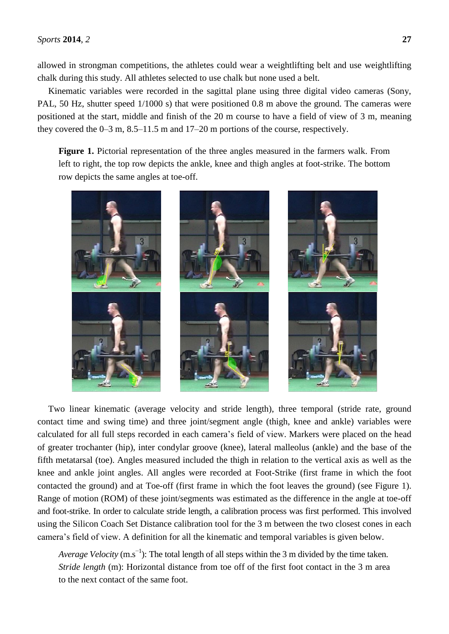allowed in strongman competitions, the athletes could wear a weightlifting belt and use weightlifting chalk during this study. All athletes selected to use chalk but none used a belt.

Kinematic variables were recorded in the sagittal plane using three digital video cameras (Sony, PAL, 50 Hz, shutter speed  $1/1000$  s) that were positioned 0.8 m above the ground. The cameras were positioned at the start, middle and finish of the 20 m course to have a field of view of 3 m, meaning they covered the 0–3 m, 8.5–11.5 m and 17–20 m portions of the course, respectively.

**Figure 1.** Pictorial representation of the three angles measured in the farmers walk. From left to right, the top row depicts the ankle, knee and thigh angles at foot-strike. The bottom row depicts the same angles at toe-off.



Two linear kinematic (average velocity and stride length), three temporal (stride rate, ground contact time and swing time) and three joint/segment angle (thigh, knee and ankle) variables were calculated for all full steps recorded in each camera's field of view. Markers were placed on the head of greater trochanter (hip), inter condylar groove (knee), lateral malleolus (ankle) and the base of the fifth metatarsal (toe). Angles measured included the thigh in relation to the vertical axis as well as the knee and ankle joint angles. All angles were recorded at Foot-Strike (first frame in which the foot contacted the ground) and at Toe-off (first frame in which the foot leaves the ground) (see Figure 1). Range of motion (ROM) of these joint/segments was estimated as the difference in the angle at toe-off and foot-strike. In order to calculate stride length, a calibration process was first performed. This involved using the Silicon Coach Set Distance calibration tool for the 3 m between the two closest cones in each camera's field of view. A definition for all the kinematic and temporal variables is given below.

*Average Velocity* (m.s<sup>-1</sup>): The total length of all steps within the 3 m divided by the time taken. *Stride length* (m): Horizontal distance from toe off of the first foot contact in the 3 m area to the next contact of the same foot.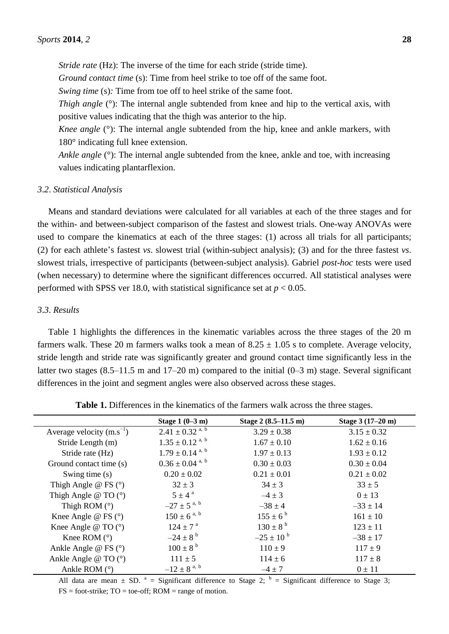*Stride rate* (Hz): The inverse of the time for each stride (stride time).

*Ground contact time* (s): Time from heel strike to toe off of the same foot.

*Swing time* (s): Time from toe off to heel strike of the same foot.

*Thigh angle* (°): The internal angle subtended from knee and hip to the vertical axis, with positive values indicating that the thigh was anterior to the hip.

*Knee angle* (°): The internal angle subtended from the hip, knee and ankle markers, with 180° indicating full knee extension.

*Ankle angle* (°): The internal angle subtended from the knee, ankle and toe, with increasing values indicating plantarflexion.

#### *3*.*2*. *Statistical Analysis*

Means and standard deviations were calculated for all variables at each of the three stages and for the within- and between-subject comparison of the fastest and slowest trials. One-way ANOVAs were used to compare the kinematics at each of the three stages: (1) across all trials for all participants; (2) for each athlete's fastest *vs*. slowest trial (within-subject analysis); (3) and for the three fastest *vs*. slowest trials, irrespective of participants (between-subject analysis). Gabriel *post-hoc* tests were used (when necessary) to determine where the significant differences occurred. All statistical analyses were performed with SPSS ver 18.0, with statistical significance set at *p* < 0.05.

## *3*.*3*. *Results*

Table 1 highlights the differences in the kinematic variables across the three stages of the 20 m farmers walk. These 20 m farmers walks took a mean of  $8.25 \pm 1.05$  s to complete. Average velocity, stride length and stride rate was significantly greater and ground contact time significantly less in the latter two stages (8.5–11.5 m and 17–20 m) compared to the initial (0–3 m) stage. Several significant differences in the joint and segment angles were also observed across these stages.

|                                          | Stage $1(0-3m)$                 | Stage $2(8.5-11.5 \text{ m})$ | Stage 3 (17–20 m) |
|------------------------------------------|---------------------------------|-------------------------------|-------------------|
| Average velocity $(m.s^{-1})$            | $2.41 \pm 0.32$ <sup>a, b</sup> | $3.29 \pm 0.38$               | $3.15 \pm 0.32$   |
| Stride Length (m)                        | $1.35 \pm 0.12$ <sup>a, b</sup> | $1.67 \pm 0.10$               | $1.62 \pm 0.16$   |
| Stride rate (Hz)                         | $1.79 \pm 0.14$ <sup>a, b</sup> | $1.97 \pm 0.13$               | $1.93 \pm 0.12$   |
| Ground contact time (s)                  | $0.36 \pm 0.04$ <sup>a, b</sup> | $0.30 \pm 0.03$               | $0.30 \pm 0.04$   |
| Swing time (s)                           | $0.20 \pm 0.02$                 | $0.21 \pm 0.01$               | $0.21 \pm 0.02$   |
| Thigh Angle $@$ FS $(°)$                 | $32 \pm 3$                      | $34 \pm 3$                    | $33 \pm 5$        |
| Thigh Angle $@$ TO $(°)$                 | $5 \pm 4^{\circ}$               | $-4 \pm 3$                    | $0 \pm 13$        |
| Thigh ROM $(°)$                          | $-27 \pm 5$ <sup>a, b</sup>     | $-38 \pm 4$                   | $-33 \pm 14$      |
| Knee Angle $\circledcirc$ FS $(^\circ)$  | $150 \pm 6^{a, b}$              | $155 \pm 6^{\circ}$           | $161 \pm 10$      |
| Knee Angle @ TO $(°)$                    | $124 \pm 7^{\circ}$             | $130 \pm 8^{\circ}$           | $123 \pm 11$      |
| Knee ROM $(^\circ)$                      | $-24 \pm 8$ <sup>b</sup>        | $-25 \pm 10^{b}$              | $-38 \pm 17$      |
| Ankle Angle $\circledcirc$ FS $(^\circ)$ | $100 \pm 8^{\text{b}}$          | $110 \pm 9$                   | $117 \pm 9$       |
| Ankle Angle $@$ TO $(°)$                 | $111 \pm 5$                     | $114 \pm 6$                   | $117 \pm 8$       |
| Ankle ROM $(°)$                          | $-12 \pm 8$ <sup>a, b</sup>     | $-4 \pm 7$                    | $0 \pm 11$        |

**Table 1.** Differences in the kinematics of the farmers walk across the three stages.

All data are mean  $\pm$  SD.  $a =$  Significant difference to Stage 2;  $b =$  Significant difference to Stage 3;  $FS = foot-strike$ ;  $TO = toe-off$ ;  $ROM = range of motion$ .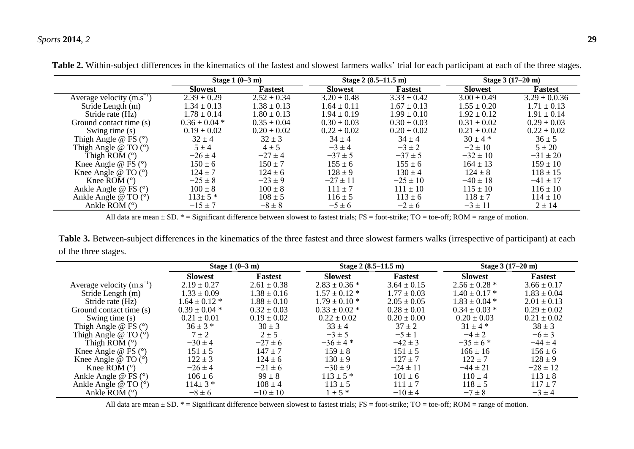## *Sports* **2014**, *2* **29**

**Stage 1 (0–3 m) Stage 2 (8.5–11.5 m) Stage 3 (17–20 m) Slowest Fastest Slowest Fastest Slowest Fastest** Average velocity  $(m.s^{-1})$ <br>  $2.39 \pm 0.29$ <br>  $2.52 \pm 0.34$ <br>  $3.20 \pm 0.48$ <br>  $3.33 \pm 0.42$ <br>  $3.00 \pm 0.49$ <br>  $3.29 \pm 0.0.36$ <br>  $3.55 \pm 0.20$ <br>  $1.71 \pm 0.13$ <br>  $1.67 \pm 0.13$ <br>  $1.67 \pm 0.13$ <br>  $1.55 \pm 0.20$ <br>  $1.71 \pm 0.13$ Stride Length (m)  $1.34 \pm 0.13$   $1.38 \pm 0.13$   $1.64 \pm 0.11$   $1.67 \pm 0.13$ <br>Stride rate (Hz)  $1.78 \pm 0.14$   $1.80 \pm 0.13$   $1.94 \pm 0.19$   $1.99 \pm 0.10$ Stride rate (Hz)  $1.78 \pm 0.14$   $1.80 \pm 0.13$   $1.94 \pm 0.19$   $1.99 \pm 0.10$   $1.92 \pm 0.12$   $1.91 \pm 0.14$ Ground contact time (s)  $0.36 \pm 0.04$  \*  $0.35 \pm 0.04$   $0.30 \pm 0.03$   $0.30 \pm 0.03$   $0.30 \pm 0.03$   $0.31 \pm 0.02$   $0.29 \pm 0.03$ <br>Swing time (s)  $0.19 \pm 0.02$   $0.20 \pm 0.02$   $0.22 \pm 0.02$   $0.22 \pm 0.02$   $0.20 \pm 0.02$   $0.21 \pm 0.02$ Swing time (s)  $0.19 \pm 0.02$   $0.20 \pm 0.02$   $0.22 \pm 0.02$   $0.20 \pm 0.02$   $0.20 \pm 0.02$   $0.21 \pm 0.02$   $0.22 \pm 0.02$ Thigh Angle @ FS (°) Thigh Angle @ TO (°) Thigh ROM (°)  $32 \pm 4$  $5 + 4$  $-26 \pm 4$  $32 \pm 3$  $4 \pm 5$  $-27 \pm 4$  $34 \pm 4$  $-3 \pm 4$  $-37 \pm 5$  $34 \pm 4$  $-3 \pm 2$  $-37 \pm 5$  $30 \pm 4*$  $-2 \pm 10$  $-32 \pm 10$  $36 \pm 5$  $5 \pm 20$  $-31 \pm 20$ Knee Angle  $\omega$  FS  $(°)$ Knee Angle  $\omega$  TO  $(°)$ Knee ROM (°)  $150 \pm 6$  $124 \pm 7$  $-25 \pm 8$  $150 \pm 7$  $124 \pm 6$  $-23 \pm 9$  $155 \pm 6$  $128 \pm 9$  $-27 \pm 11$  $155 \pm 6$  $130 \pm 4$  $-25 \pm 10$  $164 \pm 13$  $124 \pm 8$  $-40 \pm 18$  $159 \pm 10$  $118 \pm 15$  $-41 \pm 17$ Ankle Angle @ FS (°) Ankle Angle @ TO (°) Ankle ROM (°)  $100 \pm 8$  $113 \pm 5$  \*  $-15 \pm 7$  $100 \pm 8$  $108 \pm 5$  $-8 \pm 8$  $111 \pm 7$  $116 \pm 5$  $-5 \pm 6$  $111 \pm 10$  $113 \pm 6$  $-2 \pm 6$  $115 \pm 10$  $118 \pm 7$  $-3 \pm 11$  $116 \pm 10$  $114 \pm 10$  $2 \pm 14$ 

**Table 2.** Within-subject differences in the kinematics of the fastest and slowest farmers walks' trial for each participant at each of the three stages.

All data are mean  $\pm$  SD.  $*$  = Significant difference between slowest to fastest trials; FS = foot-strike; TO = toe-off; ROM = range of motion.

| Table 3. Between-subject differences in the kinematics of the three fastest and three slowest farmers walks (irrespective of participant) at each |  |
|---------------------------------------------------------------------------------------------------------------------------------------------------|--|
| of the three stages.                                                                                                                              |  |

|                                          | Stage $1(0-3m)$   |                 | Stage $2(8.5-11.5 \text{ m})$ |                 | Stage 3 (17–20 m) |                 |
|------------------------------------------|-------------------|-----------------|-------------------------------|-----------------|-------------------|-----------------|
|                                          | <b>Slowest</b>    | <b>Fastest</b>  | <b>Slowest</b>                | <b>Fastest</b>  | <b>Slowest</b>    | Fastest         |
| Average velocity $(m.s^{-1})$            | $2.19 \pm 0.27$   | $2.61 \pm 0.38$ | $2.83 \pm 0.36$ *             | $3.64 \pm 0.15$ | $2.56 \pm 0.28$ * | $3.66 \pm 0.17$ |
| Stride Length (m)                        | $1.33 \pm 0.09$   | $1.38 \pm 0.16$ | $1.57 \pm 0.12$ *             | $1.77 \pm 0.03$ | $1.40 \pm 0.17$ * | $1.83 \pm 0.04$ |
| Stride rate (Hz)                         | $1.64 \pm 0.12$ * | $1.88 \pm 0.10$ | $1.79 \pm 0.10*$              | $2.05 \pm 0.05$ | $1.83 \pm 0.04$ * | $2.01 \pm 0.13$ |
| Ground contact time (s)                  | $0.39 \pm 0.04$ * | $0.32 \pm 0.03$ | $0.33 \pm 0.02$ *             | $0.28 \pm 0.01$ | $0.34 \pm 0.03$ * | $0.29 \pm 0.02$ |
| Swing time (s)                           | $0.21 \pm 0.01$   | $0.19 \pm 0.02$ | $0.22 \pm 0.02$               | $0.20 \pm 0.00$ | $0.20 \pm 0.03$   | $0.21 \pm 0.02$ |
| Thigh Angle $\circledcirc$ FS $(^\circ)$ | $36 \pm 3*$       | $30 \pm 3$      | $33 \pm 4$                    | $37 \pm 2$      | $31 \pm 4$ *      | $38 \pm 3$      |
| Thigh Angle $@$ TO $(°)$                 | $7 \pm 2$         | $2 \pm 5$       | $-3 \pm 5$                    | $-5 \pm 1$      | $-4 \pm 2$        | $-6 \pm 3$      |
| Thigh ROM $(°)$                          | $-30 \pm 4$       | $-27 \pm 6$     | $-36 \pm 4$ *                 | $-42 \pm 3$     | $-35 \pm 6*$      | $-44 \pm 4$     |
| Knee Angle $\circledcirc$ FS $(^\circ)$  | $151 \pm 5$       | $147 \pm 7$     | $159 \pm 8$                   | $151 \pm 5$     | $166 \pm 16$      | $156 \pm 6$     |
| Knee Angle @ TO $(°)$                    | $122 \pm 3$       | $124 \pm 6$     | $130 \pm 9$                   | $127 + 7$       | $122 \pm 7$       | $128 \pm 9$     |
| Knee ROM $(^\circ)$                      | $-26 \pm 4$       | $-21 \pm 6$     | $-30 \pm 9$                   | $-24 \pm 11$    | $-44 \pm 21$      | $-28 \pm 12$    |
| Ankle Angle $\circledcirc$ FS $(^\circ)$ | $106 \pm 6$       | $99 \pm 8$      | $113 \pm 5$ *                 | $101 \pm 6$     | $110 \pm 4$       | $113 \pm 8$     |
| Ankle Angle @ TO (°)                     | $114 \pm 3$ *     | $108 \pm 4$     | $113 \pm 5$                   | $111 \pm 7$     | $118 \pm 5$       | $117 \pm 7$     |
| Ankle ROM $(°)$                          | $-8 \pm 6$        | $-10 \pm 10$    | $1 \pm 5$ *                   | $-10 \pm 4$     | $-7 \pm 8$        | $-3 \pm 4$      |

All data are mean  $\pm$  SD.  $*$  = Significant difference between slowest to fastest trials; FS = foot-strike; TO = toe-off; ROM = range of motion.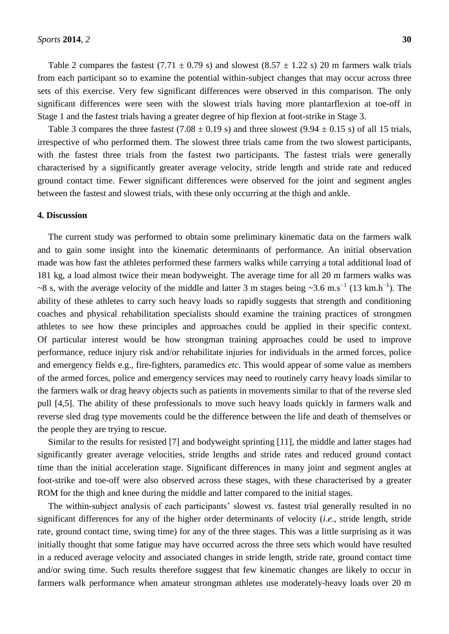Table 2 compares the fastest (7.71  $\pm$  0.79 s) and slowest (8.57  $\pm$  1.22 s) 20 m farmers walk trials from each participant so to examine the potential within-subject changes that may occur across three sets of this exercise. Very few significant differences were observed in this comparison. The only significant differences were seen with the slowest trials having more plantarflexion at toe-off in Stage 1 and the fastest trials having a greater degree of hip flexion at foot-strike in Stage 3.

Table 3 compares the three fastest  $(7.08 \pm 0.19 \text{ s})$  and three slowest  $(9.94 \pm 0.15 \text{ s})$  of all 15 trials, irrespective of who performed them. The slowest three trials came from the two slowest participants, with the fastest three trials from the fastest two participants. The fastest trials were generally characterised by a significantly greater average velocity, stride length and stride rate and reduced ground contact time. Fewer significant differences were observed for the joint and segment angles between the fastest and slowest trials, with these only occurring at the thigh and ankle.

## **4. Discussion**

The current study was performed to obtain some preliminary kinematic data on the farmers walk and to gain some insight into the kinematic determinants of performance. An initial observation made was how fast the athletes performed these farmers walks while carrying a total additional load of 181 kg, a load almost twice their mean bodyweight. The average time for all 20 m farmers walks was ~8 s, with the average velocity of the middle and latter 3 m stages being ~3.6 m.s<sup>-1</sup> (13 km.h<sup>-1</sup>). The ability of these athletes to carry such heavy loads so rapidly suggests that strength and conditioning coaches and physical rehabilitation specialists should examine the training practices of strongmen athletes to see how these principles and approaches could be applied in their specific context. Of particular interest would be how strongman training approaches could be used to improve performance, reduce injury risk and/or rehabilitate injuries for individuals in the armed forces, police and emergency fields e.g., fire-fighters, paramedics *etc*. This would appear of some value as members of the armed forces, police and emergency services may need to routinely carry heavy loads similar to the farmers walk or drag heavy objects such as patients in movements similar to that of the reverse sled pull [\[4](#page-9-3)[,5\]](#page-9-4). The ability of these professionals to move such heavy loads quickly in farmers walk and reverse sled drag type movements could be the difference between the life and death of themselves or the people they are trying to rescue.

Similar to the results for resisted [\[7\]](#page-9-6) and bodyweight sprinting [\[11\]](#page-10-0), the middle and latter stages had significantly greater average velocities, stride lengths and stride rates and reduced ground contact time than the initial acceleration stage. Significant differences in many joint and segment angles at foot-strike and toe-off were also observed across these stages, with these characterised by a greater ROM for the thigh and knee during the middle and latter compared to the initial stages.

The within-subject analysis of each participants' slowest *vs*. fastest trial generally resulted in no significant differences for any of the higher order determinants of velocity (*i*.*e*., stride length, stride rate, ground contact time, swing time) for any of the three stages. This was a little surprising as it was initially thought that some fatigue may have occurred across the three sets which would have resulted in a reduced average velocity and associated changes in stride length, stride rate, ground contact time and/or swing time. Such results therefore suggest that few kinematic changes are likely to occur in farmers walk performance when amateur strongman athletes use moderately-heavy loads over 20 m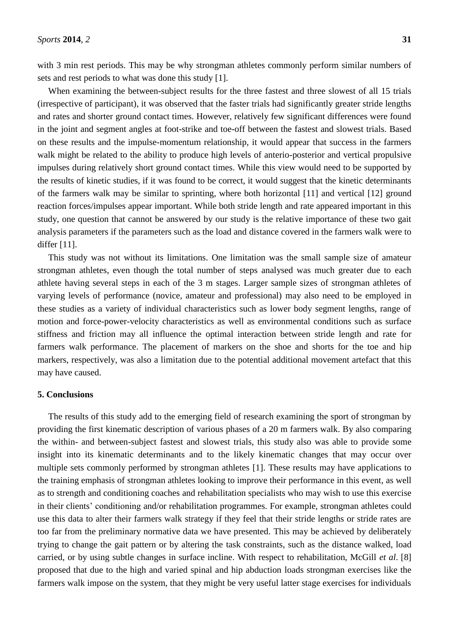with 3 min rest periods. This may be why strongman athletes commonly perform similar numbers of sets and rest periods to what was done this study [\[1\]](#page-9-0).

When examining the between-subject results for the three fastest and three slowest of all 15 trials (irrespective of participant), it was observed that the faster trials had significantly greater stride lengths and rates and shorter ground contact times. However, relatively few significant differences were found in the joint and segment angles at foot-strike and toe-off between the fastest and slowest trials. Based on these results and the impulse-momentum relationship, it would appear that success in the farmers walk might be related to the ability to produce high levels of anterio-posterior and vertical propulsive impulses during relatively short ground contact times. While this view would need to be supported by the results of kinetic studies, if it was found to be correct, it would suggest that the kinetic determinants of the farmers walk may be similar to sprinting, where both horizontal [\[11\]](#page-10-0) and vertical [\[12\]](#page-10-2) ground reaction forces/impulses appear important. While both stride length and rate appeared important in this study, one question that cannot be answered by our study is the relative importance of these two gait analysis parameters if the parameters such as the load and distance covered in the farmers walk were to differ [\[11\]](#page-10-0).

This study was not without its limitations. One limitation was the small sample size of amateur strongman athletes, even though the total number of steps analysed was much greater due to each athlete having several steps in each of the 3 m stages. Larger sample sizes of strongman athletes of varying levels of performance (novice, amateur and professional) may also need to be employed in these studies as a variety of individual characteristics such as lower body segment lengths, range of motion and force-power-velocity characteristics as well as environmental conditions such as surface stiffness and friction may all influence the optimal interaction between stride length and rate for farmers walk performance. The placement of markers on the shoe and shorts for the toe and hip markers, respectively, was also a limitation due to the potential additional movement artefact that this may have caused.

## **5. Conclusions**

The results of this study add to the emerging field of research examining the sport of strongman by providing the first kinematic description of various phases of a 20 m farmers walk. By also comparing the within- and between-subject fastest and slowest trials, this study also was able to provide some insight into its kinematic determinants and to the likely kinematic changes that may occur over multiple sets commonly performed by strongman athletes [\[1\]](#page-9-0). These results may have applications to the training emphasis of strongman athletes looking to improve their performance in this event, as well as to strength and conditioning coaches and rehabilitation specialists who may wish to use this exercise in their clients' conditioning and/or rehabilitation programmes. For example, strongman athletes could use this data to alter their farmers walk strategy if they feel that their stride lengths or stride rates are too far from the preliminary normative data we have presented. This may be achieved by deliberately trying to change the gait pattern or by altering the task constraints, such as the distance walked, load carried, or by using subtle changes in surface incline. With respect to rehabilitation, McGill *et al*. [8] proposed that due to the high and varied spinal and hip abduction loads strongman exercises like the farmers walk impose on the system, that they might be very useful latter stage exercises for individuals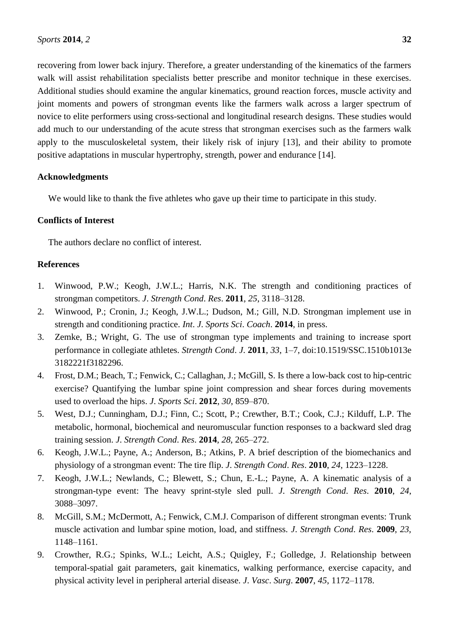recovering from lower back injury. Therefore, a greater understanding of the kinematics of the farmers walk will assist rehabilitation specialists better prescribe and monitor technique in these exercises. Additional studies should examine the angular kinematics, ground reaction forces, muscle activity and joint moments and powers of strongman events like the farmers walk across a larger spectrum of novice to elite performers using cross-sectional and longitudinal research designs. These studies would add much to our understanding of the acute stress that strongman exercises such as the farmers walk apply to the musculoskeletal system, their likely risk of injury [\[13\]](#page-10-3), and their ability to promote positive adaptations in muscular hypertrophy, strength, power and endurance [\[14\]](#page-10-4).

## **Acknowledgments**

We would like to thank the five athletes who gave up their time to participate in this study.

## **Conflicts of Interest**

The authors declare no conflict of interest.

## **References**

- <span id="page-9-0"></span>1. Winwood, P.W.; Keogh, J.W.L.; Harris, N.K. The strength and conditioning practices of strongman competitors. *J*. *Strength Cond*. *Res*. **2011**, *25*, 3118–3128.
- <span id="page-9-1"></span>2. Winwood, P.; Cronin, J.; Keogh, J.W.L.; Dudson, M.; Gill, N.D. Strongman implement use in strength and conditioning practice. *Int*. *J*. *Sports Sci*. *Coach*. **2014**, in press.
- <span id="page-9-2"></span>3. Zemke, B.; Wright, G. The use of strongman type implements and training to increase sport performance in collegiate athletes. *Strength Cond*. *J*. **2011**, *33*, 1–7, doi:10.1519/SSC.1510b1013e 3182221f3182296.
- <span id="page-9-3"></span>4. Frost, D.M.; Beach, T.; Fenwick, C.; Callaghan, J.; McGill, S. Is there a low-back cost to hip-centric exercise? Quantifying the lumbar spine joint compression and shear forces during movements used to overload the hips. *J*. *Sports Sci*. **2012**, *30*, 859–870.
- <span id="page-9-4"></span>5. West, D.J.; Cunningham, D.J.; Finn, C.; Scott, P.; Crewther, B.T.; Cook, C.J.; Kilduff, L.P. The metabolic, hormonal, biochemical and neuromuscular function responses to a backward sled drag training session. *J*. *Strength Cond*. *Res*. **2014**, *28*, 265–272.
- <span id="page-9-5"></span>6. Keogh, J.W.L.; Payne, A.; Anderson, B.; Atkins, P. A brief description of the biomechanics and physiology of a strongman event: The tire flip. *J*. *Strength Cond*. *Res*. **2010**, *24*, 1223–1228.
- <span id="page-9-6"></span>7. Keogh, J.W.L.; Newlands, C.; Blewett, S.; Chun, E.-L.; Payne, A. A kinematic analysis of a strongman-type event: The heavy sprint-style sled pull. *J*. *Strength Cond*. *Res*. **2010**, *24*, 3088–3097.
- <span id="page-9-7"></span>8. McGill, S.M.; McDermott, A.; Fenwick, C.M.J. Comparison of different strongman events: Trunk muscle activation and lumbar spine motion, load, and stiffness. *J*. *Strength Cond*. *Res*. **2009**, *23*, 1148–1161.
- <span id="page-9-8"></span>9. Crowther, R.G.; Spinks, W.L.; Leicht, A.S.; Quigley, F.; Golledge, J. Relationship between temporal-spatial gait parameters, gait kinematics, walking performance, exercise capacity, and physical activity level in peripheral arterial disease. *J*. *Vasc*. *Surg*. **2007**, *45*, 1172–1178.